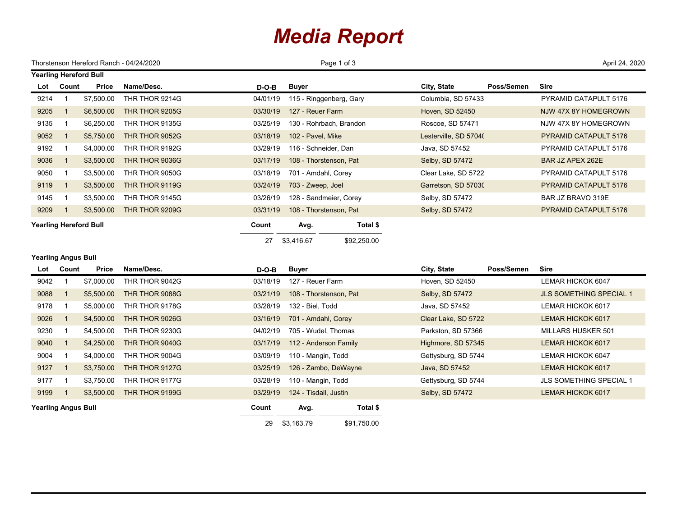## *Media Report*

|                               |                |                            | Thorstenson Hereford Ranch - 04/24/2020 | Page 1 of 3 |                         |             |                       |            | April 24, 2020                   |  |
|-------------------------------|----------------|----------------------------|-----------------------------------------|-------------|-------------------------|-------------|-----------------------|------------|----------------------------------|--|
| <b>Yearling Hereford Bull</b> |                |                            |                                         |             |                         |             |                       |            |                                  |  |
| Lot                           | Count          | <b>Price</b>               | Name/Desc.                              | $D-O-B$     | <b>Buyer</b>            |             | City, State           | Poss/Semen | <b>Sire</b>                      |  |
| 9214                          | $\mathbf{1}$   | \$7,500.00                 | THR THOR 9214G                          | 04/01/19    | 115 - Ringgenberg, Gary |             | Columbia, SD 57433    |            | PYRAMID CATAPULT 5176            |  |
| 9205                          | $\mathbf{1}$   | \$6,500.00                 | THR THOR 9205G                          | 03/30/19    | 127 - Reuer Farm        |             | Hoven, SD 52450       |            | NJW 47X 8Y HOMEGROWN             |  |
| 9135                          | $\mathbf 1$    | \$6,250.00                 | THR THOR 9135G                          | 03/25/19    | 130 - Rohrbach, Brandon |             | Roscoe, SD 57471      |            | NJW 47X 8Y HOMEGROWN             |  |
| 9052                          | $\mathbf{1}$   | \$5,750.00                 | THR THOR 9052G                          | 03/18/19    | 102 - Pavel, Mike       |             | Lesterville, SD 57040 |            | PYRAMID CATAPULT 5176            |  |
| 9192                          | $\overline{1}$ | \$4,000.00                 | THR THOR 9192G                          | 03/29/19    | 116 - Schneider, Dan    |             | Java, SD 57452        |            | PYRAMID CATAPULT 5176            |  |
| 9036                          | $\overline{1}$ | \$3,500.00                 | THR THOR 9036G                          | 03/17/19    | 108 - Thorstenson, Pat  |             | Selby, SD 57472       |            | <b>BAR JZ APEX 262E</b>          |  |
| 9050                          | $\mathbf{1}$   | \$3,500.00                 | THR THOR 9050G                          | 03/18/19    | 701 - Amdahl, Corey     |             | Clear Lake, SD 5722   |            | PYRAMID CATAPULT 5176            |  |
| 9119                          | $\mathbf{1}$   | \$3,500.00                 | THR THOR 9119G                          | 03/24/19    | 703 - Zweep, Joel       |             | Garretson, SD 57030   |            | PYRAMID CATAPULT 5176            |  |
| 9145                          | $\overline{1}$ | \$3,500.00                 | THR THOR 9145G                          | 03/26/19    | 128 - Sandmeier, Corey  |             | Selby, SD 57472       |            | BAR JZ BRAVO 319E                |  |
| 9209                          | $\mathbf{1}$   | \$3,500.00                 | THR THOR 9209G                          | 03/31/19    | 108 - Thorstenson, Pat  |             | Selby, SD 57472       |            | PYRAMID CATAPULT 5176            |  |
| <b>Yearling Hereford Bull</b> |                |                            | Count                                   | Avg.        | Total \$                |             |                       |            |                                  |  |
|                               |                |                            |                                         | 27          | \$3,416.67              | \$92,250.00 |                       |            |                                  |  |
|                               |                |                            |                                         |             |                         |             |                       |            |                                  |  |
| <b>Yearling Angus Bull</b>    |                |                            |                                         |             |                         |             |                       |            |                                  |  |
| Lot<br>9042                   | Count          | <b>Price</b><br>\$7,000.00 | Name/Desc.<br>THR THOR 9042G            | $D-O-B$     | Buyer                   |             | City, State           | Poss/Semen | <b>Sire</b><br>LEMAR HICKOK 6047 |  |
|                               | $\mathbf{1}$   |                            |                                         | 03/18/19    | 127 - Reuer Farm        |             | Hoven, SD 52450       |            |                                  |  |
| 9088                          | $\mathbf{1}$   | \$5,500.00                 | THR THOR 9088G                          | 03/21/19    | 108 - Thorstenson, Pat  |             | Selby, SD 57472       |            | <b>JLS SOMETHING SPECIAL 1</b>   |  |
| 9178                          | $\mathbf{1}$   | \$5,000.00                 | THR THOR 9178G                          | 03/28/19    | 132 - Biel, Todd        |             | Java, SD 57452        |            | LEMAR HICKOK 6017                |  |
| 9026                          | $\overline{1}$ | \$4,500.00                 | THR THOR 9026G                          | 03/16/19    | 701 - Amdahl, Corey     |             | Clear Lake, SD 5722   |            | <b>LEMAR HICKOK 6017</b>         |  |
| 9230                          | $\mathbf{1}$   | \$4,500.00                 | THR THOR 9230G                          | 04/02/19    | 705 - Wudel, Thomas     |             | Parkston, SD 57366    |            | MILLARS HUSKER 501               |  |
| 9040                          | $\overline{1}$ | \$4,250.00                 | THR THOR 9040G                          | 03/17/19    | 112 - Anderson Family   |             | Highmore, SD 57345    |            | <b>LEMAR HICKOK 6017</b>         |  |
| 9004                          | $\overline{1}$ | \$4,000.00                 | THR THOR 9004G                          | 03/09/19    | 110 - Mangin, Todd      |             | Gettysburg, SD 5744   |            | LEMAR HICKOK 6047                |  |
| 9127                          | $\overline{1}$ | \$3,750.00                 | THR THOR 9127G                          | 03/25/19    | 126 - Zambo, DeWayne    |             | Java, SD 57452        |            | <b>LEMAR HICKOK 6017</b>         |  |
| 9177                          | $\overline{1}$ | \$3,750.00                 | THR THOR 9177G                          | 03/28/19    | 110 - Mangin, Todd      |             | Gettysburg, SD 5744   |            | JLS SOMETHING SPECIAL 1          |  |
| 9199                          | $\overline{1}$ | \$3,500.00                 | THR THOR 9199G                          | 03/29/19    | 124 - Tisdall, Justin   |             | Selby, SD 57472       |            | <b>LEMAR HICKOK 6017</b>         |  |
| <b>Yearling Angus Bull</b>    |                |                            |                                         | Count       | Avg.                    | Total \$    |                       |            |                                  |  |
|                               |                |                            |                                         | 29          | \$3,163.79              | \$91,750.00 |                       |            |                                  |  |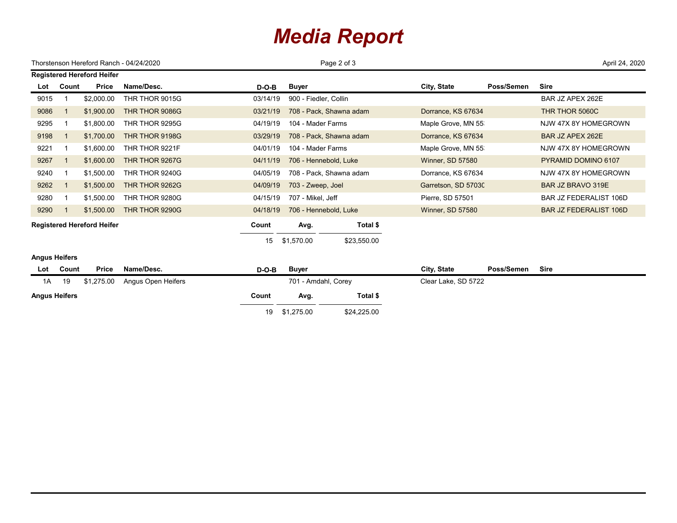## *Media Report*

| Thorstenson Hereford Ranch - 04/24/2020 |                                   |              |                    | Page 2 of 3 |                         |             |                     | April 24, 2020 |                               |  |
|-----------------------------------------|-----------------------------------|--------------|--------------------|-------------|-------------------------|-------------|---------------------|----------------|-------------------------------|--|
|                                         | <b>Registered Hereford Heifer</b> |              |                    |             |                         |             |                     |                |                               |  |
| Lot                                     | Count                             | Price        | Name/Desc.         | $D-O-B$     | <b>Buyer</b>            |             | City, State         | Poss/Semen     | <b>Sire</b>                   |  |
| 9015                                    |                                   | \$2,000.00   | THR THOR 9015G     | 03/14/19    | 900 - Fiedler, Collin   |             |                     |                | BAR JZ APEX 262E              |  |
| 9086                                    |                                   | \$1,900.00   | THR THOR 9086G     | 03/21/19    | 708 - Pack, Shawna adam |             | Dorrance, KS 67634  |                | THR THOR 5060C                |  |
| 9295                                    |                                   | \$1,800.00   | THR THOR 9295G     | 04/19/19    | 104 - Mader Farms       |             | Maple Grove, MN 55. |                | NJW 47X 8Y HOMEGROWN          |  |
| 9198                                    | $\overline{1}$                    | \$1,700.00   | THR THOR 9198G     | 03/29/19    | 708 - Pack, Shawna adam |             | Dorrance, KS 67634  |                | <b>BAR JZ APEX 262E</b>       |  |
| 9221                                    |                                   | \$1,600.00   | THR THOR 9221F     | 04/01/19    | 104 - Mader Farms       |             | Maple Grove, MN 55. |                | NJW 47X 8Y HOMEGROWN          |  |
| 9267                                    | $\overline{1}$                    | \$1,600.00   | THR THOR 9267G     | 04/11/19    | 706 - Hennebold, Luke   |             | Winner, SD 57580    |                | PYRAMID DOMINO 6107           |  |
| 9240                                    |                                   | \$1,500.00   | THR THOR 9240G     | 04/05/19    | 708 - Pack, Shawna adam |             | Dorrance, KS 67634  |                | NJW 47X 8Y HOMEGROWN          |  |
| 9262                                    |                                   | \$1,500.00   | THR THOR 9262G     | 04/09/19    | 703 - Zweep, Joel       |             | Garretson, SD 57030 |                | BAR JZ BRAVO 319E             |  |
| 9280                                    |                                   | \$1,500.00   | THR THOR 9280G     | 04/15/19    | 707 - Mikel, Jeff       |             | Pierre, SD 57501    |                | <b>BAR JZ FEDERALIST 106D</b> |  |
| 9290                                    |                                   | \$1,500.00   | THR THOR 9290G     | 04/18/19    | 706 - Hennebold, Luke   |             | Winner, SD 57580    |                | <b>BAR JZ FEDERALIST 106D</b> |  |
| <b>Registered Hereford Heifer</b>       |                                   |              |                    | Count       | Avg.                    | Total \$    |                     |                |                               |  |
|                                         |                                   |              |                    | 15          | \$1,570.00              | \$23,550.00 |                     |                |                               |  |
| <b>Angus Heifers</b>                    |                                   |              |                    |             |                         |             |                     |                |                               |  |
| Lot                                     | Count                             | <b>Price</b> | Name/Desc.         | $D-O-B$     | <b>Buyer</b>            |             | City, State         | Poss/Semen     | <b>Sire</b>                   |  |
| 1A                                      | 19                                | \$1,275.00   | Angus Open Heifers |             | 701 - Amdahl, Corey     |             | Clear Lake, SD 5722 |                |                               |  |
| <b>Angus Heifers</b>                    |                                   |              |                    | Count       | Avg.                    | Total \$    |                     |                |                               |  |
|                                         |                                   |              |                    | 19          | \$1,275.00              | \$24,225.00 |                     |                |                               |  |